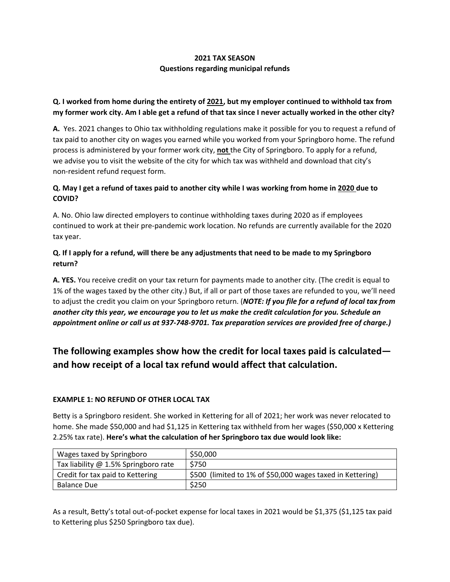## **2021 TAX SEASON Questions regarding municipal refunds**

## **Q. I worked from home during the entirety of 2021, but my employer continued to withhold tax from** my former work city. Am I able get a refund of that tax since I never actually worked in the other city?

**A.** Yes. 2021 changes to Ohio tax withholding regulations make it possible for you to request a refund of tax paid to another city on wages you earned while you worked from your Springboro home. The refund process is administered by your former work city, **not** the City of Springboro. To apply for a refund, we advise you to visit the website of the city for which tax was withheld and download that city's non‐resident refund request form.

## Q. May I get a refund of taxes paid to another city while I was working from home in 2020 due to **COVID?**

A. No. Ohio law directed employers to continue withholding taxes during 2020 as if employees continued to work at their pre‐pandemic work location. No refunds are currently available for the 2020 tax year.

## Q. If I apply for a refund, will there be any adjustments that need to be made to my Springboro **return?**

**A. YES.** You receive credit on your tax return for payments made to another city. (The credit is equal to 1% of the wages taxed by the other city.) But, if all or part of those taxes are refunded to you, we'll need to adjust the credit you claim on your Springboro return. (*NOTE: If you file for a refund of local tax from* another city this year, we encourage you to let us make the credit calculation for you. Schedule an appointment online or call us at 937-748-9701. Tax preparation services are provided free of charge.)

# **The following examples show how the credit for local taxes paid is calculated and how receipt of a local tax refund would affect that calculation.**

### **EXAMPLE 1: NO REFUND OF OTHER LOCAL TAX**

Betty is a Springboro resident. She worked in Kettering for all of 2021; her work was never relocated to home. She made \$50,000 and had \$1,125 in Kettering tax withheld from her wages (\$50,000 x Kettering 2.25% tax rate). **Here's what the calculation of her Springboro tax due would look like:**

| Wages taxed by Springboro            | \$50,000                                                   |
|--------------------------------------|------------------------------------------------------------|
| Tax liability @ 1.5% Springboro rate | \$750                                                      |
| Credit for tax paid to Kettering     | \$500 (limited to 1% of \$50,000 wages taxed in Kettering) |
| <b>Balance Due</b>                   | \$250                                                      |

As a result, Betty's total out‐of‐pocket expense for local taxes in 2021 would be \$1,375 (\$1,125 tax paid to Kettering plus \$250 Springboro tax due).